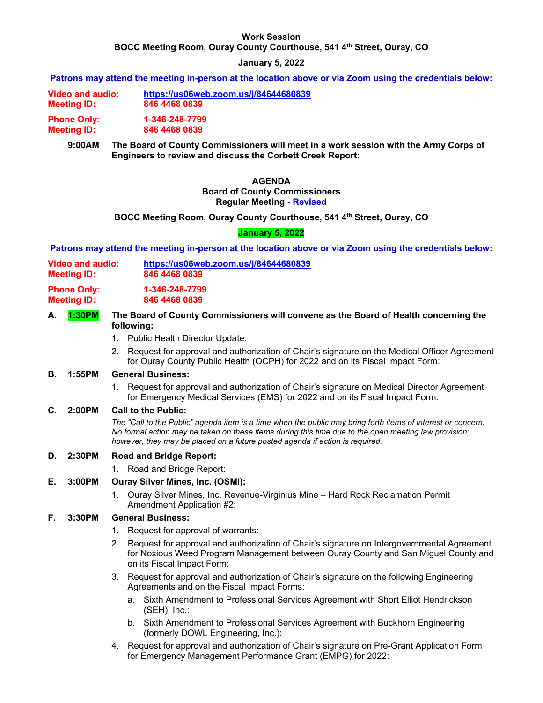### **Work Session**

**BOCC Meeting Room, Ouray County Courthouse, 541 4th Street, Ouray, CO** 

### **January 5, 2022**

**Patrons may attend the meeting in-person at the location above or via Zoom using the credentials below:**

**Video and audio: https://us06web.zoom.us/j/84644680839 Meeting ID: 846 4468 0839 Phone Only: 1-346-248-7799** 

**Meeting ID: 846 4468 0839** 

**9:00AM The Board of County Commissioners will meet in a work session with the Army Corps of Engineers to review and discuss the Corbett Creek Report:** 

### **AGENDA Board of County Commissioners Regular Meeting - Revised**

**BOCC Meeting Room, Ouray County Courthouse, 541 4th Street, Ouray, CO** 

### **January 5, 2022**

**Patrons may attend the meeting in-person at the location above or via Zoom using the credentials below:**

- **Video and audio: https://us06web.zoom.us/j/84644680839 Meeting ID: 846 4468 0839**
- **Phone Only: 1-346-248-7799 Meeting ID: 846 4468 0839**
- **A. 1:30PM The Board of County Commissioners will convene as the Board of Health concerning the following:** 
	- 1. Public Health Director Update:
	- 2. Request for approval and authorization of Chair's signature on the Medical Officer Agreement for Ouray County Public Health (OCPH) for 2022 and on its Fiscal Impact Form:

## **B. 1:55PM General Business:**

1. Request for approval and authorization of Chair's signature on Medical Director Agreement for Emergency Medical Services (EMS) for 2022 and on its Fiscal Impact Form:

### **C. 2:00PM Call to the Public:**

 *The "Call to the Public" agenda item is a time when the public may bring forth items of interest or concern. No formal action may be taken on these items during this time due to the open meeting law provision; however, they may be placed on a future posted agenda if action is required.* 

# **D. 2:30PM Road and Bridge Report:**

1. Road and Bridge Report:

# **E. 3:00PM Ouray Silver Mines, Inc. (OSMI):**

1. Ouray Silver Mines, Inc. Revenue-Virginius Mine – Hard Rock Reclamation Permit Amendment Application #2:

### **F. 3:30PM General Business:**

- 1. Request for approval of warrants:
- 2. Request for approval and authorization of Chair's signature on Intergovernmental Agreement for Noxious Weed Program Management between Ouray County and San Miguel County and on its Fiscal Impact Form:
- 3. Request for approval and authorization of Chair's signature on the following Engineering Agreements and on the Fiscal Impact Forms:
	- a. Sixth Amendment to Professional Services Agreement with Short Elliot Hendrickson (SEH), Inc.:
	- b. Sixth Amendment to Professional Services Agreement with Buckhorn Engineering (formerly DOWL Engineering, Inc.):
- 4. Request for approval and authorization of Chair's signature on Pre-Grant Application Form for Emergency Management Performance Grant (EMPG) for 2022: